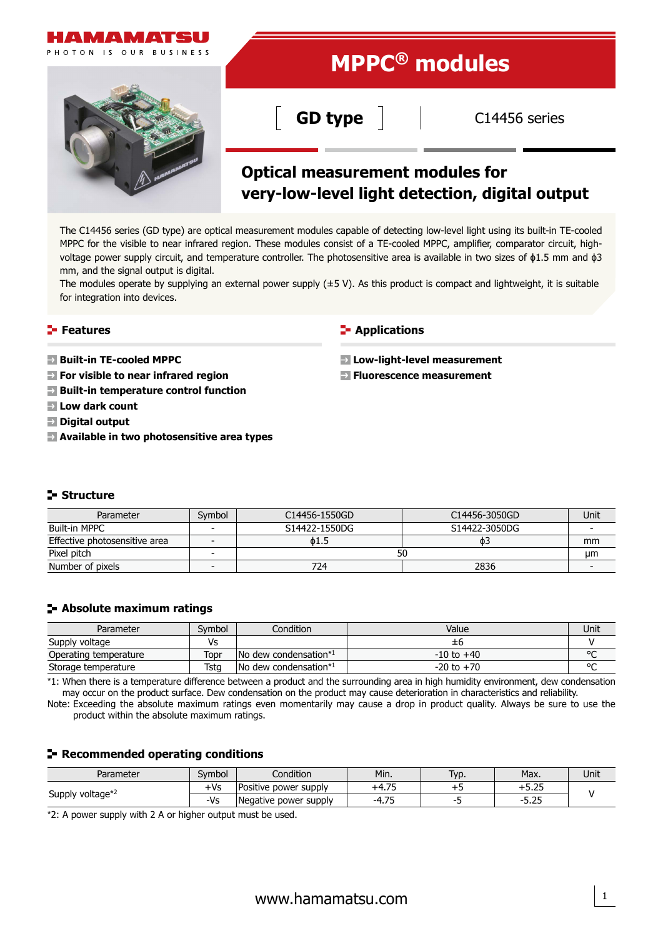

The C14456 series (GD type) are optical measurement modules capable of detecting low-level light using its built-in TE-cooled MPPC for the visible to near infrared region. These modules consist of a TE-cooled MPPC, amplifier, comparator circuit, highvoltage power supply circuit, and temperature controller. The photosensitive area is available in two sizes of  $\phi$ 1.5 mm and  $\phi$ 3 mm, and the signal output is digital.

The modules operate by supplying an external power supply  $(±5 V)$ . As this product is compact and lightweight, it is suitable for integration into devices.

### **Features**

- **Built-in TE-cooled MPPC**
- **For visible to near infrared region**
- **Built-in temperature control function**
- **Low dark count**
- **Digital output**
- **Available in two photosensitive area types**

#### **F** Applications

**Low-light-level measurement**

**Fluorescence measurement**

### **Structure**

| Parameter                     | Symbol | C14456-1550GD | C14456-3050GD | Unit |  |
|-------------------------------|--------|---------------|---------------|------|--|
| Built-in MPPC                 |        | S14422-1550DG | S14422-3050DG |      |  |
| Effective photosensitive area |        | о1.5          | ФE            | mm   |  |
| Pixel pitch                   |        | οu            |               |      |  |
| Number of pixels              |        | 724           | 2836          |      |  |

### **Absolute maximum ratings**

| Parameter             | Symbol | Condition                                        | Value          | Unit   |
|-----------------------|--------|--------------------------------------------------|----------------|--------|
| Supply voltage        | Vs     |                                                  | ±б             |        |
| Operating temperature | Topr   | No dew condensation*1                            | $-10$ to $+40$ | $\sim$ |
| Storage temperature   | Tsta   | $\blacksquare$ No dew condensation <sup>*1</sup> | $-20$ to $+70$ | $\sim$ |

\*1: When there is a temperature difference between a product and the surrounding area in high humidity environment, dew condensation may occur on the product surface. Dew condensation on the product may cause deterioration in characteristics and reliability.

Note: Exceeding the absolute maximum ratings even momentarily may cause a drop in product quality. Always be sure to use the product within the absolute maximum ratings.

### **Recommended operating conditions**

| Parameter        | Symbol                       | Condition             | Min.                           | Typ. | Max.          | Unit |
|------------------|------------------------------|-----------------------|--------------------------------|------|---------------|------|
| Supply voltage*2 | ⊦Vs<br>Positive power supply |                       | $\overline{\phantom{a}}$       |      | r or<br>0.ZJ  |      |
|                  | -Vs                          | Negative power supply | 7 <sub>5</sub><br>-4<br>1. / J |      | חר ה<br>ں ے ر |      |

\*2: A power supply with 2 A or higher output must be used.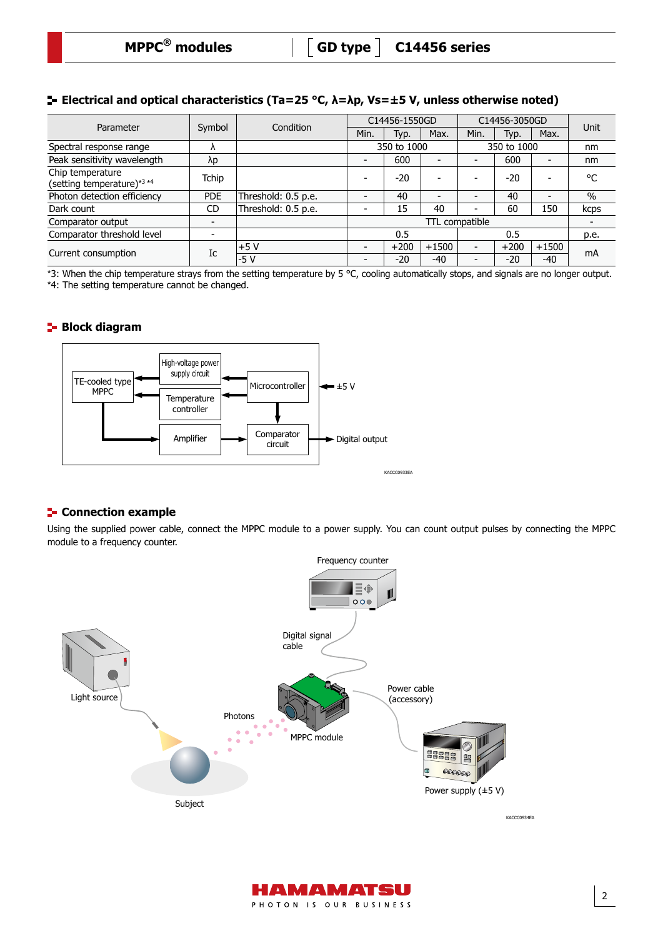# **Electrical and optical characteristics (Ta=25 °C, λ=λp, Vs=±5 V, unless otherwise noted)**

| Parameter                                      | Symbol                   | Condition           | C14456-1550GD  |        |                          | C14456-3050GD            |        |                          |               |
|------------------------------------------------|--------------------------|---------------------|----------------|--------|--------------------------|--------------------------|--------|--------------------------|---------------|
|                                                |                          |                     | Min.           | Typ.   | Max.                     | Min.                     | Typ.   | Max.                     | Unit          |
| Spectral response range                        | $\Lambda$                |                     | 350 to 1000    |        | 350 to 1000              |                          |        | nm                       |               |
| Peak sensitivity wavelength                    | λp                       |                     |                | 600    | $\overline{\phantom{0}}$ | $\overline{\phantom{0}}$ | 600    | -                        | nm            |
| Chip temperature<br>(setting temperature)*3 *4 | Tchip                    |                     |                | $-20$  | $\overline{\phantom{0}}$ |                          | $-20$  |                          | °C            |
| Photon detection efficiency                    | <b>PDE</b>               | Threshold: 0.5 p.e. |                | 40     | $\overline{\phantom{0}}$ |                          | 40     | $\overline{\phantom{0}}$ | $\frac{0}{0}$ |
| Dark count                                     | <b>CD</b>                | Threshold: 0.5 p.e. |                | 15     | 40                       | -                        | 60     | 150                      | kcps          |
| Comparator output                              | $\overline{\phantom{a}}$ |                     | TTL compatible |        |                          |                          |        | $\overline{\phantom{a}}$ |               |
| Comparator threshold level                     |                          |                     | 0.5            |        |                          |                          | 0.5    |                          |               |
| Current consumption                            | Ic                       | +5 V                |                | $+200$ | $+1500$                  | $\overline{\phantom{0}}$ | $+200$ | $+1500$                  | mA            |
|                                                |                          | $-5V$               |                | $-20$  | $-40$                    | $\overline{\phantom{0}}$ | $-20$  | $-40$                    |               |

\*3: When the chip temperature strays from the setting temperature by 5 °C, cooling automatically stops, and signals are no longer output. \*4: The setting temperature cannot be changed.

### **Block diagram**



### **E-** Connection example

Using the supplied power cable, connect the MPPC module to a power supply. You can count output pulses by connecting the MPPC module to a frequency counter.



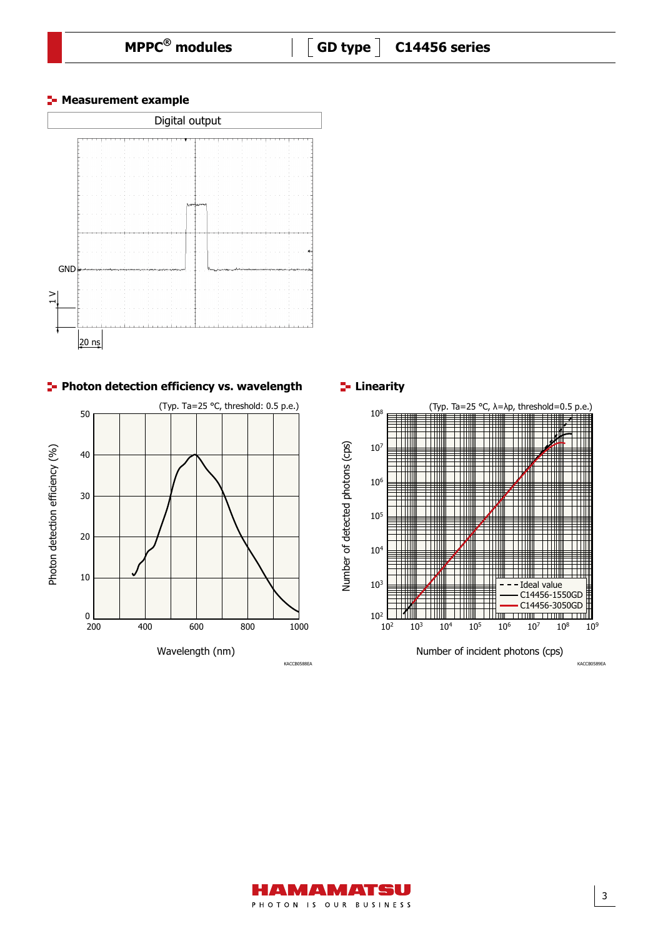





**Linearity** 



KACCB0589EA

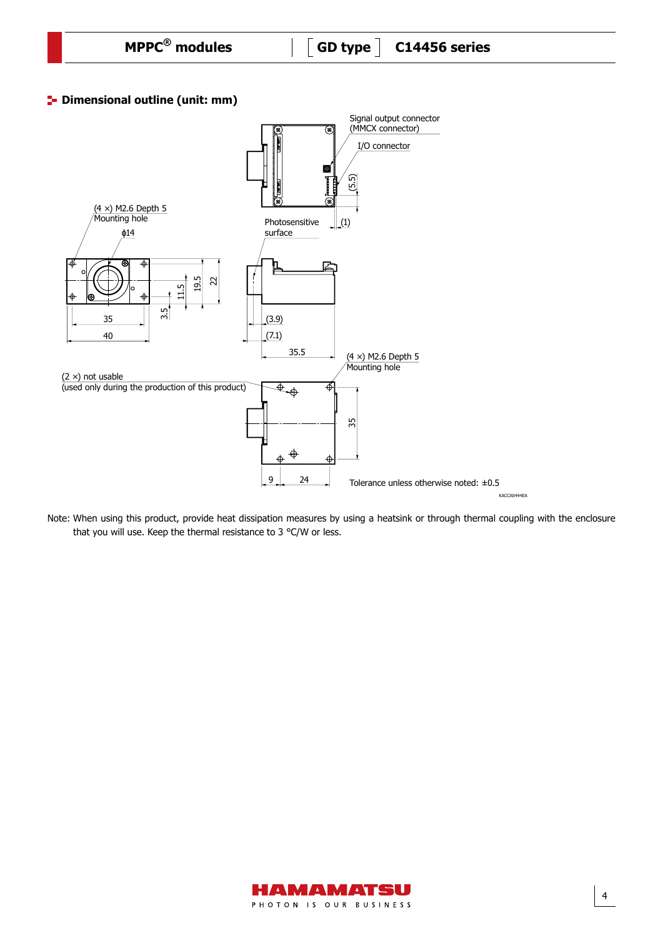# **P** Dimensional outline (unit: mm)



Note: When using this product, provide heat dissipation measures by using a heatsink or through thermal coupling with the enclosure that you will use. Keep the thermal resistance to 3 °C/W or less.